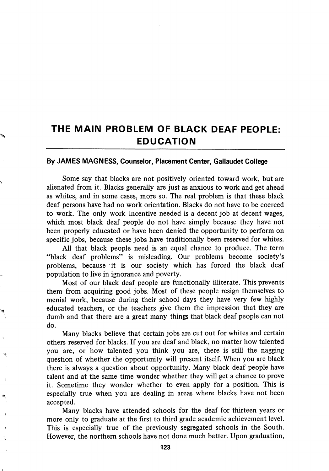## THE MAIN PROBLEM OF BLACK DEAF PEOPLE: EDUCATION

## By JAMES MAGNESS, Counselor, Placement Center, Gallaudet College

Some say that blacks are not positively oriented toward work, but are alienated from it. Blacks generally are just as anxious to work and get ahead as whites, and in some cases, more so. The real problem is that these black deaf persons have had no work orientation. Blacks do not have to be coerced to work. The only work incentive needed is a decent job at decent wages, which most black deaf people do not have simply because they have not been properly educated or have been denied the opportunity to perform on specific jobs, because these jobs have traditionally been reserved for whites.

All that black people need is an equal chance to produce. The term "black deaf problems" is misleading. Our problems become society's problems, because it is our society which has forced the black deaf population to live in ignorance and poverty.

Most of our black deaf people are functionally illiterate. This prevents them from acquiring good jobs. Most of these people resign themselves to menial work, because during their school days they have very few highly educated teachers, or the teachers give them the impression that they are dumb and that there are a great many things that black deaf people can not do.

Many blacks believe that certain jobs are cut out for whites and certain others reserved for blacks. If you are deaf and black, no matter how talented you are, or how talented you think you are, there is still the nagging question of whether the opportunity will present itself. When you are black there is always a question about opportunity. Many black deaf people have talent and at the same time wonder whether they will get a chance to prove it. Sometime they wonder whether to even apply for a position. This is especially true when you are dealing in areas where blacks have not been accepted.

Many blacks have attended schools for the deaf for thirteen years or more only to graduate at the first to third grade academic achievement level. This is especially true of the previously segregated schools in the South. However, the northern schools have not done much better. Upon graduation,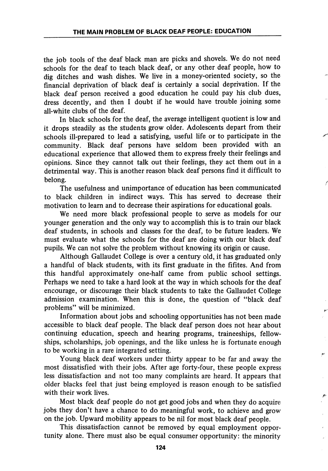the job tools of the deaf black man are picks and shovels. We do not need schools for the deaf to teach black deaf, or any other deaf people, how to dig ditches and wash dishes. We live in a money-oriented society, so the financial deprivation of black deaf is certainly a social deprivation. If the black deaf person received a good education he could pay his club dues, dress decently, and then I doubt if he would have trouble joining some all-white clubs of the deaf.

In black schools for the deaf, the average intelligent quotient is low and it drops steadily as the students grow older. Adolescents depart from their schools ill-prepared to lead a satisfying, useful life or to participate in the community. Black deaf persons have seldom been provided with an educational experience that allowed them to express freely their feelings and opinions. Since they cannot talk out their feelings, they act them out in a detrimental way. This is another reason black deaf persons find it difficult to belong.

The usefulness and unimportance of education has been communicated to black children in indirect ways. This has served to decrease their motivation to learn and to decrease their aspirations for educational goals.

We need more black professional people to serve as models for our younger generation and the only way to accomplish this is to train our black deaf students, in schools and classes for the deaf, to be future leaders. We must evaluate what the schools for the deaf are doing with our black deaf pupils. We can not solve the problem without knowing its origin or cause.

Although Gallaudet College is over a century old, it has graduated only a handful of black students, with its first graduate in the fifites. And from this handful approximately one-half came from public school settings. Perhaps we need to take a hard look at the way in which schools for the deaf encourage, or discourage their black students to take the Gallaudet College admission examination. When this is done, the question of "black deaf problems" will be minimized.

Information about jobs and schooling opportunities has not been made accessible to black deaf people. The black deaf person does not hear about continuing education, speech and hearing programs, traineeships, fellow ships, scholarships, job openings, and the like unless he is fortunate enough to be working in a rare integrated setting.

Young black deaf workers under thirty appear to be far and away the most dissatisfied with their jobs. After age forty-four, these people express less dissatisfaction and not too many complaints are heard. It appears that older blacks feel that just being employed is reason enough to be satisfied with their work lives.

Most black deaf people do not get good jobs and when they do acquire jobs they don't have a chance to do meaningful work, to achieve and grow on the job. Upward mobility appears to be nil for most black deaf people.

This dissatisfaction cannot be removed by equal employment oppor tunity alone. There must also be equal consumer opportunity: the minority